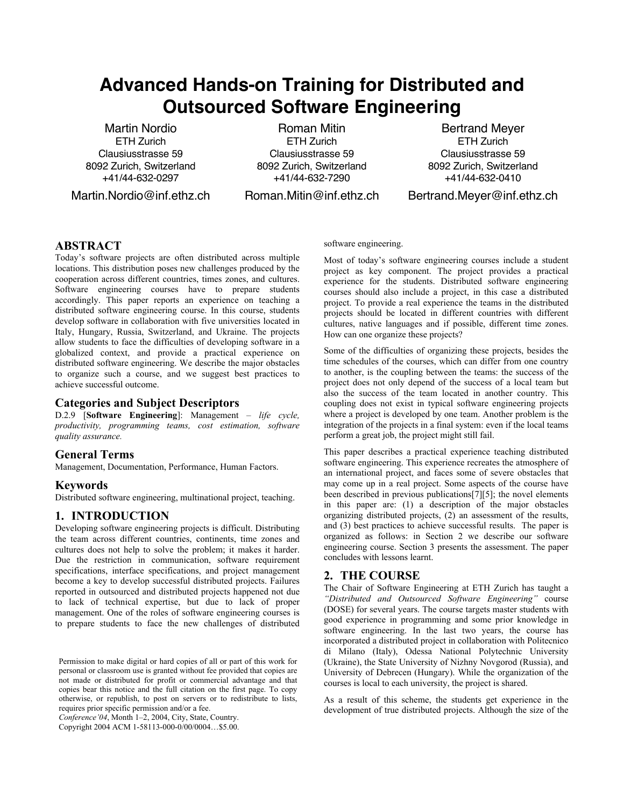# **Advanced Hands-on Training for Distributed and Outsourced Software Engineering**

Martin Nordio ETH Zurich Clausiusstrasse 59 8092 Zurich, Switzerland +41/44-632-0297

Martin.Nordio@inf.ethz.ch

Roman Mitin ETH Zurich Clausiusstrasse 59 8092 Zurich, Switzerland +41/44-632-7290

Roman.Mitin@inf.ethz.ch

Bertrand Meyer ETH Zurich Clausiusstrasse 59 8092 Zurich, Switzerland +41/44-632-0410

Bertrand.Meyer@inf.ethz.ch

## **ABSTRACT**

Today's software projects are often distributed across multiple locations. This distribution poses new challenges produced by the cooperation across different countries, times zones, and cultures. Software engineering courses have to prepare students accordingly. This paper reports an experience on teaching a distributed software engineering course. In this course, students develop software in collaboration with five universities located in Italy, Hungary, Russia, Switzerland, and Ukraine. The projects allow students to face the difficulties of developing software in a globalized context, and provide a practical experience on distributed software engineering. We describe the major obstacles to organize such a course, and we suggest best practices to achieve successful outcome.

## **Categories and Subject Descriptors**

D.2.9 [**Software Engineering**]: Management – *life cycle, productivity, programming teams, cost estimation, software quality assurance.*

#### **General Terms**

Management, Documentation, Performance, Human Factors.

#### **Keywords**

Distributed software engineering, multinational project, teaching.

## **1. INTRODUCTION**

Developing software engineering projects is difficult. Distributing the team across different countries, continents, time zones and cultures does not help to solve the problem; it makes it harder. Due the restriction in communication, software requirement specifications, interface specifications, and project management become a key to develop successful distributed projects. Failures reported in outsourced and distributed projects happened not due to lack of technical expertise, but due to lack of proper management. One of the roles of software engineering courses is to prepare students to face the new challenges of distributed

*Conference'04*, Month 1–2, 2004, City, State, Country.

Copyright 2004 ACM 1-58113-000-0/00/0004…\$5.00.

#### software engineering.

Most of today's software engineering courses include a student project as key component. The project provides a practical experience for the students. Distributed software engineering courses should also include a project, in this case a distributed project. To provide a real experience the teams in the distributed projects should be located in different countries with different cultures, native languages and if possible, different time zones. How can one organize these projects?

Some of the difficulties of organizing these projects, besides the time schedules of the courses, which can differ from one country to another, is the coupling between the teams: the success of the project does not only depend of the success of a local team but also the success of the team located in another country. This coupling does not exist in typical software engineering projects where a project is developed by one team. Another problem is the integration of the projects in a final system: even if the local teams perform a great job, the project might still fail.

This paper describes a practical experience teaching distributed software engineering. This experience recreates the atmosphere of an international project, and faces some of severe obstacles that may come up in a real project. Some aspects of the course have been described in previous publications $[7][5]$ ; the novel elements in this paper are: (1) a description of the major obstacles organizing distributed projects, (2) an assessment of the results, and (3) best practices to achieve successful results. The paper is organized as follows: in Section 2 we describe our software engineering course. Section 3 presents the assessment. The paper concludes with lessons learnt.

#### **2. THE COURSE**

The Chair of Software Engineering at ETH Zurich has taught a *"Distributed and Outsourced Software Engineering"* course (DOSE) for several years. The course targets master students with good experience in programming and some prior knowledge in software engineering. In the last two years, the course has incorporated a distributed project in collaboration with Politecnico di Milano (Italy), Odessa National Polytechnic University (Ukraine), the State University of Nizhny Novgorod (Russia), and University of Debrecen (Hungary). While the organization of the courses is local to each university, the project is shared.

As a result of this scheme, the students get experience in the development of true distributed projects. Although the size of the

Permission to make digital or hard copies of all or part of this work for personal or classroom use is granted without fee provided that copies are not made or distributed for profit or commercial advantage and that copies bear this notice and the full citation on the first page. To copy otherwise, or republish, to post on servers or to redistribute to lists, requires prior specific permission and/or a fee.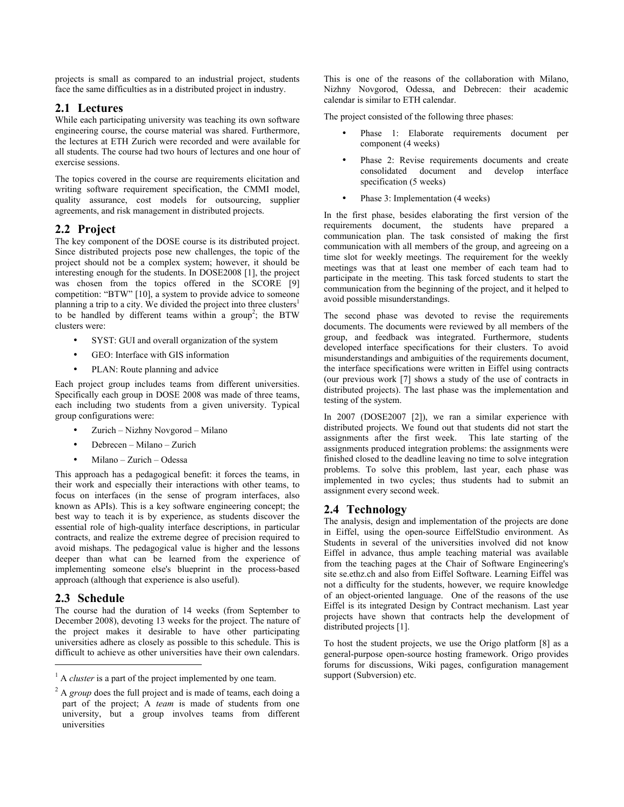projects is small as compared to an industrial project, students face the same difficulties as in a distributed project in industry.

## **2.1 Lectures**

While each participating university was teaching its own software engineering course, the course material was shared. Furthermore, the lectures at ETH Zurich were recorded and were available for all students. The course had two hours of lectures and one hour of exercise sessions.

The topics covered in the course are requirements elicitation and writing software requirement specification, the CMMI model, quality assurance, cost models for outsourcing, supplier agreements, and risk management in distributed projects.

# **2.2 Project**

The key component of the DOSE course is its distributed project. Since distributed projects pose new challenges, the topic of the project should not be a complex system; however, it should be interesting enough for the students. In DOSE2008 [1], the project was chosen from the topics offered in the SCORE [9] competition: "BTW" [10], a system to provide advice to someone planning a trip to a city. We divided the project into three clusters<sup>1</sup> to be handled by different teams within a group<sup>2</sup>; the BTW clusters were:

- SYST: GUI and overall organization of the system
- GEO: Interface with GIS information
- PLAN: Route planning and advice

Each project group includes teams from different universities. Specifically each group in DOSE 2008 was made of three teams, each including two students from a given university. Typical group configurations were:

- Zurich Nizhny Novgorod Milano
- Debrecen Milano Zurich
- Milano Zurich Odessa

This approach has a pedagogical benefit: it forces the teams, in their work and especially their interactions with other teams, to focus on interfaces (in the sense of program interfaces, also known as APIs). This is a key software engineering concept; the best way to teach it is by experience, as students discover the essential role of high-quality interface descriptions, in particular contracts, and realize the extreme degree of precision required to avoid mishaps. The pedagogical value is higher and the lessons deeper than what can be learned from the experience of implementing someone else's blueprint in the process-based approach (although that experience is also useful).

## **2.3 Schedule**

 $\overline{a}$ 

The course had the duration of 14 weeks (from September to December 2008), devoting 13 weeks for the project. The nature of the project makes it desirable to have other participating universities adhere as closely as possible to this schedule. This is difficult to achieve as other universities have their own calendars.

This is one of the reasons of the collaboration with Milano, Nizhny Novgorod, Odessa, and Debrecen: their academic calendar is similar to ETH calendar.

The project consisted of the following three phases:

- Phase 1: Elaborate requirements document per component (4 weeks)
- Phase 2: Revise requirements documents and create consolidated document and develop interface specification (5 weeks)
- Phase 3: Implementation (4 weeks)

In the first phase, besides elaborating the first version of the requirements document, the students have prepared a communication plan. The task consisted of making the first communication with all members of the group, and agreeing on a time slot for weekly meetings. The requirement for the weekly meetings was that at least one member of each team had to participate in the meeting. This task forced students to start the communication from the beginning of the project, and it helped to avoid possible misunderstandings.

The second phase was devoted to revise the requirements documents. The documents were reviewed by all members of the group, and feedback was integrated. Furthermore, students developed interface specifications for their clusters. To avoid misunderstandings and ambiguities of the requirements document, the interface specifications were written in Eiffel using contracts (our previous work [7] shows a study of the use of contracts in distributed projects). The last phase was the implementation and testing of the system.

In 2007 (DOSE2007 [2]), we ran a similar experience with distributed projects. We found out that students did not start the assignments after the first week. This late starting of the assignments produced integration problems: the assignments were finished closed to the deadline leaving no time to solve integration problems. To solve this problem, last year, each phase was implemented in two cycles; thus students had to submit an assignment every second week.

## **2.4 Technology**

The analysis, design and implementation of the projects are done in Eiffel, using the open-source EiffelStudio environment. As Students in several of the universities involved did not know Eiffel in advance, thus ample teaching material was available from the teaching pages at the Chair of Software Engineering's site se.ethz.ch and also from Eiffel Software. Learning Eiffel was not a difficulty for the students, however, we require knowledge of an object-oriented language. One of the reasons of the use Eiffel is its integrated Design by Contract mechanism. Last year projects have shown that contracts help the development of distributed projects [1].

To host the student projects, we use the Origo platform [8] as a general-purpose open-source hosting framework. Origo provides forums for discussions, Wiki pages, configuration management support (Subversion) etc.

<sup>&</sup>lt;sup>1</sup> A *cluster* is a part of the project implemented by one team.

<sup>&</sup>lt;sup>2</sup> A *group* does the full project and is made of teams, each doing a part of the project; A *team* is made of students from one university, but a group involves teams from different universities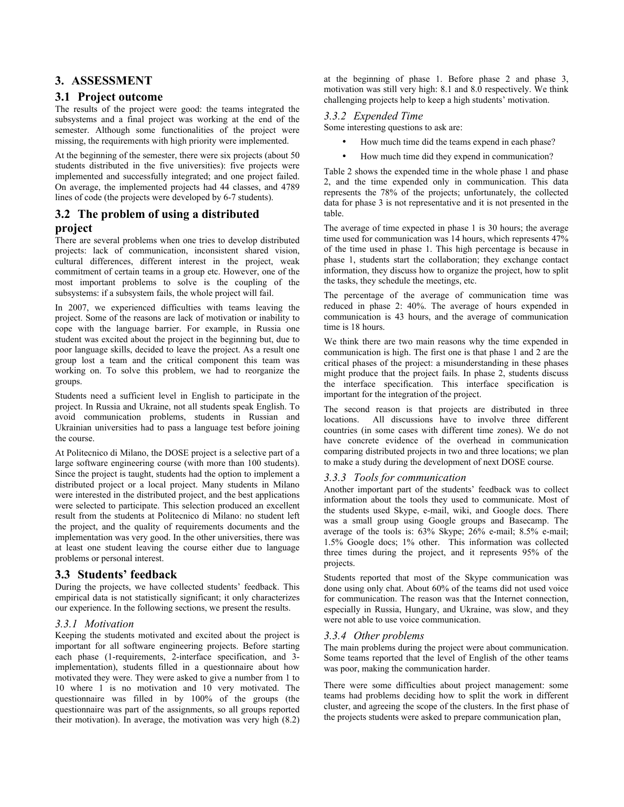## **3. ASSESSMENT**

### **3.1 Project outcome**

The results of the project were good: the teams integrated the subsystems and a final project was working at the end of the semester. Although some functionalities of the project were missing, the requirements with high priority were implemented.

At the beginning of the semester, there were six projects (about 50 students distributed in the five universities): five projects were implemented and successfully integrated; and one project failed. On average, the implemented projects had 44 classes, and 4789 lines of code (the projects were developed by 6-7 students).

## **3.2 The problem of using a distributed project**

There are several problems when one tries to develop distributed projects: lack of communication, inconsistent shared vision, cultural differences, different interest in the project, weak commitment of certain teams in a group etc. However, one of the most important problems to solve is the coupling of the subsystems: if a subsystem fails, the whole project will fail.

In 2007, we experienced difficulties with teams leaving the project. Some of the reasons are lack of motivation or inability to cope with the language barrier. For example, in Russia one student was excited about the project in the beginning but, due to poor language skills, decided to leave the project. As a result one group lost a team and the critical component this team was working on. To solve this problem, we had to reorganize the groups.

Students need a sufficient level in English to participate in the project. In Russia and Ukraine, not all students speak English. To avoid communication problems, students in Russian and Ukrainian universities had to pass a language test before joining the course.

At Politecnico di Milano, the DOSE project is a selective part of a large software engineering course (with more than 100 students). Since the project is taught, students had the option to implement a distributed project or a local project. Many students in Milano were interested in the distributed project, and the best applications were selected to participate. This selection produced an excellent result from the students at Politecnico di Milano: no student left the project, and the quality of requirements documents and the implementation was very good. In the other universities, there was at least one student leaving the course either due to language problems or personal interest.

## **3.3 Students' feedback**

During the projects, we have collected students' feedback. This empirical data is not statistically significant; it only characterizes our experience. In the following sections, we present the results.

## *3.3.1 Motivation*

Keeping the students motivated and excited about the project is important for all software engineering projects. Before starting each phase (1-requirements, 2-interface specification, and 3 implementation), students filled in a questionnaire about how motivated they were. They were asked to give a number from 1 to 10 where 1 is no motivation and 10 very motivated. The questionnaire was filled in by 100% of the groups (the questionnaire was part of the assignments, so all groups reported their motivation). In average, the motivation was very high (8.2) at the beginning of phase 1. Before phase 2 and phase 3, motivation was still very high: 8.1 and 8.0 respectively. We think challenging projects help to keep a high students' motivation.

## *3.3.2 Expended Time*

Some interesting questions to ask are:

- How much time did the teams expend in each phase?
- How much time did they expend in communication?

Table 2 shows the expended time in the whole phase 1 and phase 2, and the time expended only in communication. This data represents the 78% of the projects; unfortunately, the collected data for phase 3 is not representative and it is not presented in the table.

The average of time expected in phase 1 is 30 hours; the average time used for communication was 14 hours, which represents 47% of the time used in phase 1. This high percentage is because in phase 1, students start the collaboration; they exchange contact information, they discuss how to organize the project, how to split the tasks, they schedule the meetings, etc.

The percentage of the average of communication time was reduced in phase 2: 40%. The average of hours expended in communication is 43 hours, and the average of communication time is 18 hours.

We think there are two main reasons why the time expended in communication is high. The first one is that phase 1 and 2 are the critical phases of the project: a misunderstanding in these phases might produce that the project fails. In phase 2, students discuss the interface specification. This interface specification is important for the integration of the project.

The second reason is that projects are distributed in three locations. All discussions have to involve three different countries (in some cases with different time zones). We do not have concrete evidence of the overhead in communication comparing distributed projects in two and three locations; we plan to make a study during the development of next DOSE course.

#### *3.3.3 Tools for communication*

Another important part of the students' feedback was to collect information about the tools they used to communicate. Most of the students used Skype, e-mail, wiki, and Google docs. There was a small group using Google groups and Basecamp. The average of the tools is: 63% Skype; 26% e-mail; 8.5% e-mail; 1.5% Google docs; 1% other. This information was collected three times during the project, and it represents 95% of the projects.

Students reported that most of the Skype communication was done using only chat. About 60% of the teams did not used voice for communication. The reason was that the Internet connection, especially in Russia, Hungary, and Ukraine, was slow, and they were not able to use voice communication.

#### *3.3.4 Other problems*

The main problems during the project were about communication. Some teams reported that the level of English of the other teams was poor, making the communication harder.

There were some difficulties about project management: some teams had problems deciding how to split the work in different cluster, and agreeing the scope of the clusters. In the first phase of the projects students were asked to prepare communication plan,